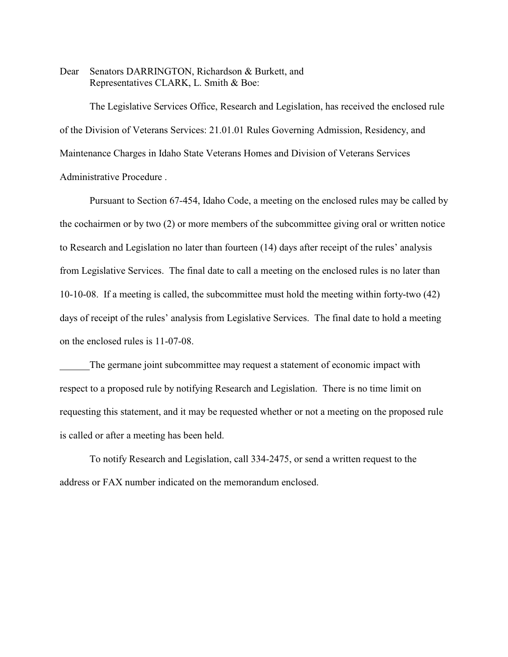Dear Senators DARRINGTON, Richardson & Burkett, and Representatives CLARK, L. Smith & Boe:

The Legislative Services Office, Research and Legislation, has received the enclosed rule of the Division of Veterans Services: 21.01.01 Rules Governing Admission, Residency, and Maintenance Charges in Idaho State Veterans Homes and Division of Veterans Services Administrative Procedure .

Pursuant to Section 67-454, Idaho Code, a meeting on the enclosed rules may be called by the cochairmen or by two (2) or more members of the subcommittee giving oral or written notice to Research and Legislation no later than fourteen (14) days after receipt of the rules' analysis from Legislative Services. The final date to call a meeting on the enclosed rules is no later than 10-10-08. If a meeting is called, the subcommittee must hold the meeting within forty-two (42) days of receipt of the rules' analysis from Legislative Services. The final date to hold a meeting on the enclosed rules is 11-07-08.

The germane joint subcommittee may request a statement of economic impact with respect to a proposed rule by notifying Research and Legislation. There is no time limit on requesting this statement, and it may be requested whether or not a meeting on the proposed rule is called or after a meeting has been held.

To notify Research and Legislation, call 334-2475, or send a written request to the address or FAX number indicated on the memorandum enclosed.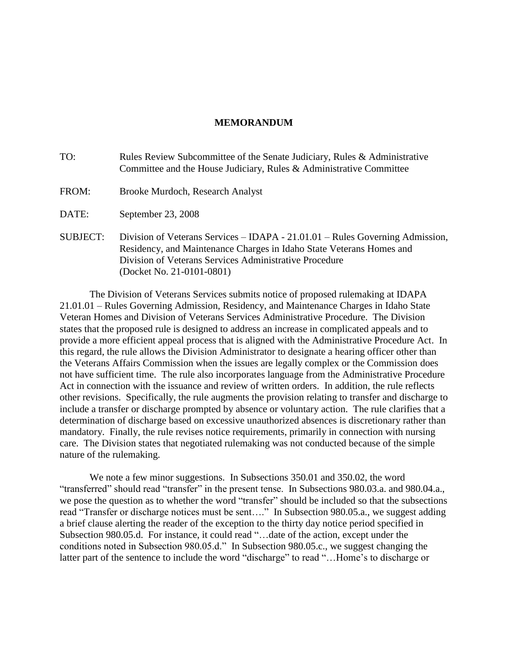# **MEMORANDUM**

| TO:             | Rules Review Subcommittee of the Senate Judiciary, Rules & Administrative<br>Committee and the House Judiciary, Rules & Administrative Committee                                                                                             |
|-----------------|----------------------------------------------------------------------------------------------------------------------------------------------------------------------------------------------------------------------------------------------|
| FROM:           | Brooke Murdoch, Research Analyst                                                                                                                                                                                                             |
| DATE:           | September 23, 2008                                                                                                                                                                                                                           |
| <b>SUBJECT:</b> | Division of Veterans Services – IDAPA - 21.01.01 – Rules Governing Admission,<br>Residency, and Maintenance Charges in Idaho State Veterans Homes and<br>Division of Veterans Services Administrative Procedure<br>(Docket No. 21-0101-0801) |

The Division of Veterans Services submits notice of proposed rulemaking at IDAPA 21.01.01 – Rules Governing Admission, Residency, and Maintenance Charges in Idaho State Veteran Homes and Division of Veterans Services Administrative Procedure. The Division states that the proposed rule is designed to address an increase in complicated appeals and to provide a more efficient appeal process that is aligned with the Administrative Procedure Act. In this regard, the rule allows the Division Administrator to designate a hearing officer other than the Veterans Affairs Commission when the issues are legally complex or the Commission does not have sufficient time. The rule also incorporates language from the Administrative Procedure Act in connection with the issuance and review of written orders. In addition, the rule reflects other revisions. Specifically, the rule augments the provision relating to transfer and discharge to include a transfer or discharge prompted by absence or voluntary action. The rule clarifies that a determination of discharge based on excessive unauthorized absences is discretionary rather than mandatory. Finally, the rule revises notice requirements, primarily in connection with nursing care. The Division states that negotiated rulemaking was not conducted because of the simple nature of the rulemaking.

We note a few minor suggestions. In Subsections 350.01 and 350.02, the word "transferred" should read "transfer" in the present tense. In Subsections 980.03.a. and 980.04.a., we pose the question as to whether the word "transfer" should be included so that the subsections read "Transfer or discharge notices must be sent…." In Subsection 980.05.a., we suggest adding a brief clause alerting the reader of the exception to the thirty day notice period specified in Subsection 980.05.d. For instance, it could read "…date of the action, except under the conditions noted in Subsection 980.05.d." In Subsection 980.05.c., we suggest changing the latter part of the sentence to include the word "discharge" to read "...Home's to discharge or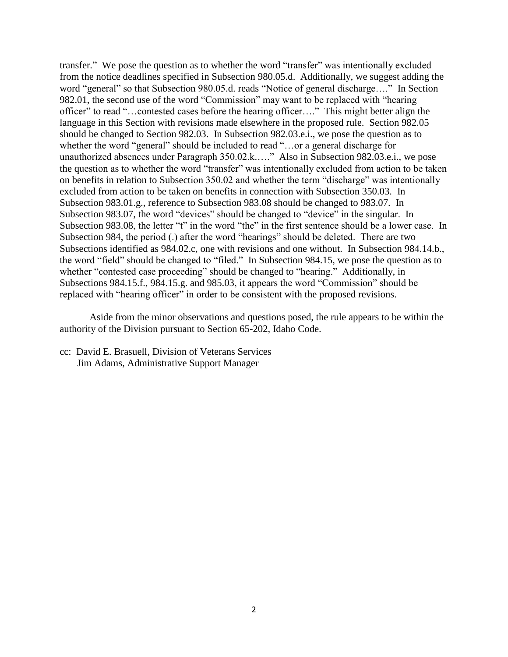transfer." We pose the question as to whether the word "transfer" was intentionally excluded from the notice deadlines specified in Subsection 980.05.d. Additionally, we suggest adding the word "general" so that Subsection 980.05.d. reads "Notice of general discharge…." In Section 982.01, the second use of the word "Commission" may want to be replaced with "hearing officer" to read "…contested cases before the hearing officer…." This might better align the language in this Section with revisions made elsewhere in the proposed rule. Section 982.05 should be changed to Section 982.03. In Subsection 982.03.e.i., we pose the question as to whether the word "general" should be included to read "…or a general discharge for unauthorized absences under Paragraph 350.02.k.…." Also in Subsection 982.03.e.i., we pose the question as to whether the word "transfer" was intentionally excluded from action to be taken on benefits in relation to Subsection 350.02 and whether the term "discharge" was intentionally excluded from action to be taken on benefits in connection with Subsection 350.03. In Subsection 983.01.g., reference to Subsection 983.08 should be changed to 983.07. In Subsection 983.07, the word "devices" should be changed to "device" in the singular. In Subsection 983.08, the letter "t" in the word "the" in the first sentence should be a lower case. In Subsection 984, the period (.) after the word "hearings" should be deleted. There are two Subsections identified as 984.02.c, one with revisions and one without. In Subsection 984.14.b., the word "field" should be changed to "filed." In Subsection 984.15, we pose the question as to whether "contested case proceeding" should be changed to "hearing." Additionally, in Subsections 984.15.f., 984.15.g. and 985.03, it appears the word "Commission" should be replaced with "hearing officer" in order to be consistent with the proposed revisions.

Aside from the minor observations and questions posed, the rule appears to be within the authority of the Division pursuant to Section 65-202, Idaho Code.

cc: David E. Brasuell, Division of Veterans Services Jim Adams, Administrative Support Manager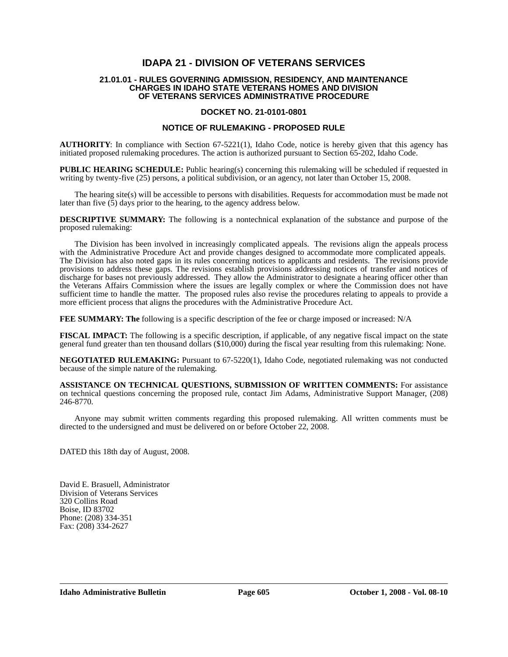# **IDAPA 21 - DIVISION OF VETERANS SERVICES**

### **21.01.01 - RULES GOVERNING ADMISSION, RESIDENCY, AND MAINTENANCE CHARGES IN IDAHO STATE VETERANS HOMES AND DIVISION OF VETERANS SERVICES ADMINISTRATIVE PROCEDURE**

## **DOCKET NO. 21-0101-0801**

### **NOTICE OF RULEMAKING - PROPOSED RULE**

**AUTHORITY**: In compliance with Section 67-5221(1), Idaho Code, notice is hereby given that this agency has initiated proposed rulemaking procedures. The action is authorized pursuant to Section 65-202, Idaho Code.

**PUBLIC HEARING SCHEDULE:** Public hearing(s) concerning this rulemaking will be scheduled if requested in writing by twenty-five (25) persons, a political subdivision, or an agency, not later than October 15, 2008.

The hearing site(s) will be accessible to persons with disabilities. Requests for accommodation must be made not later than five  $(5)$  days prior to the hearing, to the agency address below.

**DESCRIPTIVE SUMMARY:** The following is a nontechnical explanation of the substance and purpose of the proposed rulemaking:

The Division has been involved in increasingly complicated appeals. The revisions align the appeals process with the Administrative Procedure Act and provide changes designed to accommodate more complicated appeals. The Division has also noted gaps in its rules concerning notices to applicants and residents. The revisions provide provisions to address these gaps. The revisions establish provisions addressing notices of transfer and notices of discharge for bases not previously addressed. They allow the Administrator to designate a hearing officer other than the Veterans Affairs Commission where the issues are legally complex or where the Commission does not have sufficient time to handle the matter. The proposed rules also revise the procedures relating to appeals to provide a more efficient process that aligns the procedures with the Administrative Procedure Act.

**FEE SUMMARY: The** following is a specific description of the fee or charge imposed or increased: N/A

**FISCAL IMPACT:** The following is a specific description, if applicable, of any negative fiscal impact on the state general fund greater than ten thousand dollars (\$10,000) during the fiscal year resulting from this rulemaking: None.

**NEGOTIATED RULEMAKING:** Pursuant to 67-5220(1), Idaho Code, negotiated rulemaking was not conducted because of the simple nature of the rulemaking*.*

**ASSISTANCE ON TECHNICAL QUESTIONS, SUBMISSION OF WRITTEN COMMENTS:** For assistance on technical questions concerning the proposed rule, contact Jim Adams, Administrative Support Manager, (208) 246-8770*.*

Anyone may submit written comments regarding this proposed rulemaking. All written comments must be directed to the undersigned and must be delivered on or before October 22, 2008.

DATED this 18th day of August, 2008.

David E. Brasuell, Administrator Division of Veterans Services 320 Collins Road Boise, ID 83702 Phone: (208) 334-351 Fax: (208) 334-2627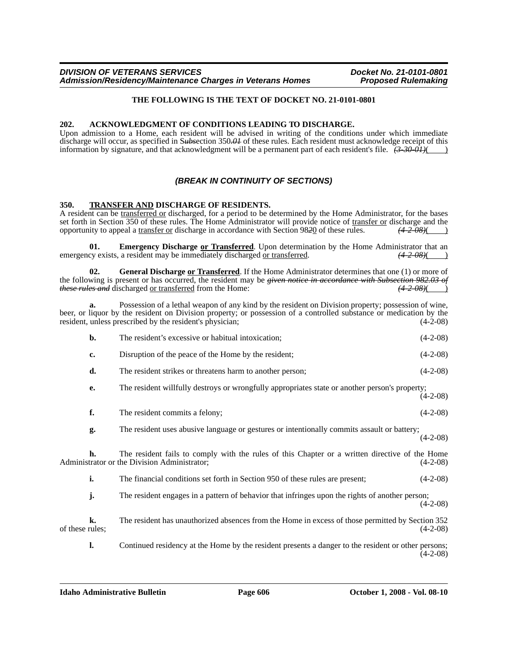## **THE FOLLOWING IS THE TEXT OF DOCKET NO. 21-0101-0801**

## **202. ACKNOWLEDGMENT OF CONDITIONS LEADING TO DISCHARGE.**

Upon admission to a Home, each resident will be advised in writing of the conditions under which immediate discharge will occur, as specified in S*ubs*ection 350*.01* of these rules. Each resident must acknowledge receipt of this information by signature, and that acknowledgment will be a permanent part of each resident's file.  $\frac{(3-30-01)}{(1-0.50)}$ 

# *(BREAK IN CONTINUITY OF SECTIONS)*

## **350. TRANSFER AND DISCHARGE OF RESIDENTS.**

A resident can be transferred or discharged, for a period to be determined by the Home Administrator, for the bases set forth in Section 350 of these rules. The Home Administrator will provide notice of <u>transfer or</u> discharge and the opportunity to appeal a transfer or discharge in accordance with Section 9820 of these rules.  $(4.2 \text{$ opportunity to appeal a transfer or discharge in accordance with Section 9820 of these rules.

**01. Emergency Discharge** or **Transferred**. Upon determination by the Home Administrator that an cy exists, a resident may be immediately discharged or transferred.  $(42.08)()$ emergency exists, a resident may be immediately discharged or transferred.

**02. General Discharge or Transferred**. If the Home Administrator determines that one (1) or more of the following is present or has occurred, the resident may be *given notice in accordance with Subsection 982.03 of these rules and* discharged or transferred from the Home: *(4-2-08)*( )

**a.** Possession of a lethal weapon of any kind by the resident on Division property; possession of wine, beer, or liquor by the resident on Division property; or possession of a controlled substance or medication by the resident, unless prescribed by the resident's physician; (4-2-08)

|                 | b. | The resident's excessive or habitual intoxication;                                                                                             | $(4-2-08)$ |
|-----------------|----|------------------------------------------------------------------------------------------------------------------------------------------------|------------|
|                 | c. | Disruption of the peace of the Home by the resident;                                                                                           | $(4-2-08)$ |
|                 | d. | The resident strikes or threatens harm to another person;                                                                                      | $(4-2-08)$ |
|                 | е. | The resident willfully destroys or wrongfully appropriates state or another person's property;                                                 | $(4-2-08)$ |
|                 | f. | The resident commits a felony;                                                                                                                 | $(4-2-08)$ |
|                 | g. | The resident uses abusive language or gestures or intentionally commits assault or battery;                                                    | $(4-2-08)$ |
|                 | h. | The resident fails to comply with the rules of this Chapter or a written directive of the Home<br>Administrator or the Division Administrator; | $(4-2-08)$ |
|                 | i. | The financial conditions set forth in Section 950 of these rules are present;                                                                  | $(4-2-08)$ |
|                 | j. | The resident engages in a pattern of behavior that infringes upon the rights of another person;                                                | $(4-2-08)$ |
| of these rules; | k. | The resident has unauthorized absences from the Home in excess of those permitted by Section 352                                               | $(4-2-08)$ |
|                 | 1. | Continued residency at the Home by the resident presents a danger to the resident or other persons;                                            | $(4-2-08)$ |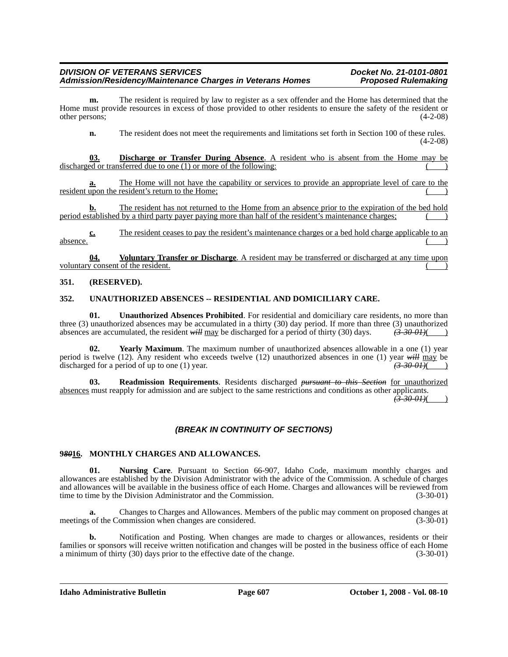**m.** The resident is required by law to register as a sex offender and the Home has determined that the Home must provide resources in excess of those provided to other residents to ensure the safety of the resident or other persons; (4-2-08)

**n.** The resident does not meet the requirements and limitations set forth in Section 100 of these rules. (4-2-08)

**03. Discharge or Transfer During Absence**. A resident who is absent from the Home may be discharged or transferred due to one  $(1)$  or more of the following:

**a.** The Home will not have the capability or services to provide an appropriate level of care to the resident upon the resident's return to the Home;

**b.** The resident has not returned to the Home from an absence prior to the expiration of the bed hold period established by a third party payer paying more than half of the resident's maintenance charges; ( )

**c.** The resident ceases to pay the resident's maintenance charges or a bed hold charge applicable to an absence. ( )

**Voluntary Transfer or Discharge**. A resident may be transferred or discharged at any time upon voluntary consent of the resident.

## **351. (RESERVED).**

## **352. UNAUTHORIZED ABSENCES -- RESIDENTIAL AND DOMICILIARY CARE.**

**01. Unauthorized Absences Prohibited**. For residential and domiciliary care residents, no more than three (3) unauthorized absences may be accumulated in a thirty (30) day period. If more than three (3) unauthorized absences are accumulated, the resident *will* may be discharged for a period of thirty (30) days.  $\left(3-30-01\right)$ 

**02. Yearly Maximum**. The maximum number of unauthorized absences allowable in a one (1) year period is twelve (12). Any resident who exceeds twelve (12) unauthorized absences in one (1) year *will* may be discharged for a period of up to one (1) year.  $\left(3\text{-}30\text{-}01\right)$ 

**03. Readmission Requirements**. Residents discharged *pursuant to this Section* for unauthorized absences must reapply for admission and are subject to the same restrictions and conditions as other applicants.

*(3-30-01)*( )

## *(BREAK IN CONTINUITY OF SECTIONS)*

## **9***80***16. MONTHLY CHARGES AND ALLOWANCES.**

**01. Nursing Care**. Pursuant to Section 66-907, Idaho Code, maximum monthly charges and allowances are established by the Division Administrator with the advice of the Commission. A schedule of charges and allowances will be available in the business office of each Home. Charges and allowances will be reviewed from time to time by the Division Administrator and the Commission. (3-30-01)

**a.** Changes to Charges and Allowances. Members of the public may comment on proposed changes at meetings of the Commission when changes are considered. (3-30-01)

**b.** Notification and Posting. When changes are made to charges or allowances, residents or their families or sponsors will receive written notification and changes will be posted in the business office of each Home a minimum of thirty (30) days prior to the effective date of the change. (3-30-01)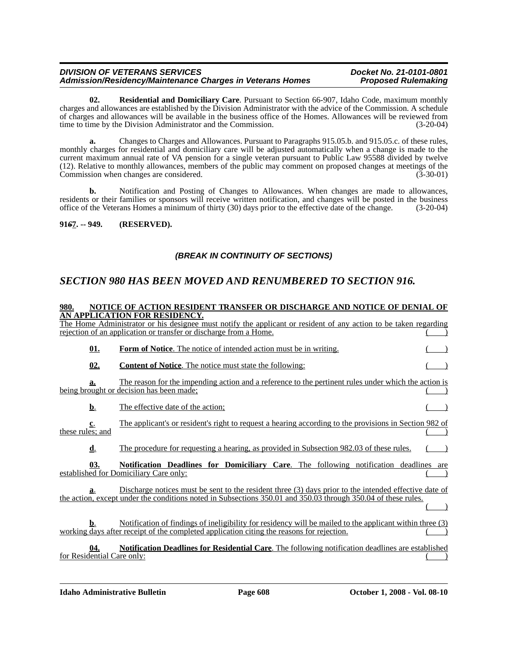**02. Residential and Domiciliary Care**. Pursuant to Section 66-907, Idaho Code, maximum monthly charges and allowances are established by the Division Administrator with the advice of the Commission. A schedule of charges and allowances will be available in the business office of the Homes. Allowances will be reviewed from time to time by the Division Administrator and the Commission. (3-20-04)

**a.** Changes to Charges and Allowances. Pursuant to Paragraphs 915.05.b. and 915.05.c. of these rules, monthly charges for residential and domiciliary care will be adjusted automatically when a change is made to the current maximum annual rate of VA pension for a single veteran pursuant to Public Law 95588 divided by twelve (12). Relative to monthly allowances, members of the public may comment on proposed changes at meetings of the Commission when changes are considered. (3-30-01)

**b.** Notification and Posting of Changes to Allowances. When changes are made to allowances, residents or their families or sponsors will receive written notification, and changes will be posted in the business office of the Veterans Homes a minimum of thirty (30) days prior to the effective date of the change. (3-20-04)

## **91***6***7. -- 949. (RESERVED).**

# *(BREAK IN CONTINUITY OF SECTIONS)*

# *SECTION 980 HAS BEEN MOVED AND RENUMBERED TO SECTION 916.*

### **980. NOTICE OF ACTION RESIDENT TRANSFER OR DISCHARGE AND NOTICE OF DENIAL OF AN APPLICATION FOR RESIDENCY.**

|                            |            | The Home Administrator or his designee must notify the applicant or resident of any action to be taken regarding<br>rejection of an application or transfer or discharge from a Home.                                  |     |
|----------------------------|------------|------------------------------------------------------------------------------------------------------------------------------------------------------------------------------------------------------------------------|-----|
|                            | <u>01.</u> | <b>Form of Notice.</b> The notice of intended action must be in writing.                                                                                                                                               |     |
|                            | 02.        | <b>Content of Notice.</b> The notice must state the following:                                                                                                                                                         |     |
| a.                         |            | The reason for the impending action and a reference to the pertinent rules under which the action is<br>being brought or decision has been made;                                                                       |     |
| <u>b.</u>                  |            | The effective date of the action;                                                                                                                                                                                      |     |
| c.<br>these rules; and     |            | The applicant's or resident's right to request a hearing according to the provisions in Section 982 of                                                                                                                 |     |
| $\mathbf{d}$ .             |            | The procedure for requesting a hearing, as provided in Subsection 982.03 of these rules.                                                                                                                               |     |
|                            | 03.        | <b>Notification Deadlines for Domiciliary Care.</b> The following notification deadlines<br>established for Domiciliary Care only:                                                                                     | are |
| a.                         |            | Discharge notices must be sent to the resident three (3) days prior to the intended effective date of<br>the action, except under the conditions noted in Subsections 350.01 and 350.03 through 350.04 of these rules. |     |
| b.                         |            | Notification of findings of ineligibility for residency will be mailed to the applicant within three (3)<br>working days after receipt of the completed application citing the reasons for rejection.                  |     |
| for Residential Care only: | 04.        | <b>Notification Deadlines for Residential Care.</b> The following notification deadlines are established                                                                                                               |     |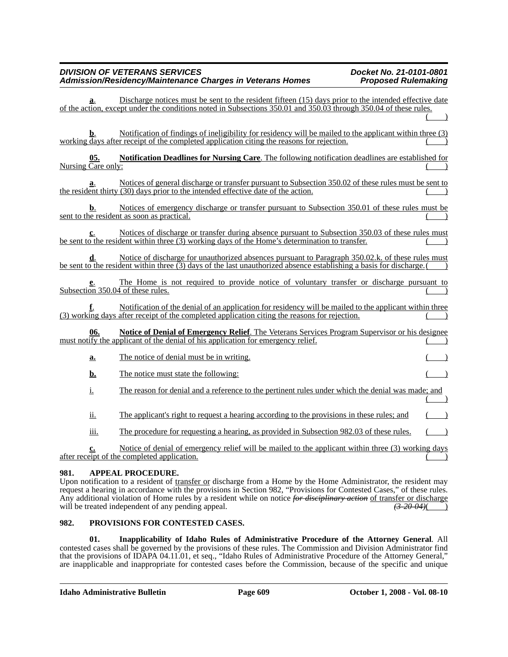Discharge notices must be sent to the resident fifteen (15) days prior to the intended effective date of the action, except under the conditions noted in Subsections 350.01 and 350.03 through 350.04 of these rules.  $($   $)$ **b.** Notification of findings of ineligibility for residency will be mailed to the applicant within three (3) working days after receipt of the completed application citing the reasons for rejection. **05. Notification Deadlines for Nursing Care**. The following notification deadlines are established for Nursing Care only: **a**. Notices of general discharge or transfer pursuant to Subsection 350.02 of these rules must be sent to the resident thirty (30) days prior to the intended effective date of the action. **b.** Notices of emergency discharge or transfer pursuant to Subsection 350.01 of these rules must be sent to the resident as soon as practical. **c**. Notices of discharge or transfer during absence pursuant to Subsection 350.03 of these rules must be sent to the resident within three  $(3)$  working days of the Home's determination to transfer. **d**. Notice of discharge for unauthorized absences pursuant to Paragraph 350.02.k. of these rules must be sent to the resident within three  $(3)$  days of the last unauthorized absence establishing a basis for discharge. **e**. The Home is not required to provide notice of voluntary transfer or discharge pursuant to Subsection 350.04 of these rules. **f**. Notification of the denial of an application for residency will be mailed to the applicant within three (3) working days after receipt of the completed application citing the reasons for rejection. ( ) **06. Notice of Denial of Emergency Relief**. The Veterans Services Program Supervisor or his designee must notify the applicant of the denial of his application for emergency relief. **a.** The notice of denial must be in writing. **b.** The notice must state the following: i. The reason for denial and a reference to the pertinent rules under which the denial was made; and  $($  ) ii. The applicant's right to request a hearing according to the provisions in these rules; and iii. The procedure for requesting a hearing, as provided in Subsection 982.03 of these rules. **c.** Notice of denial of emergency relief will be mailed to the applicant within three (3) working days  $\frac{a}{b}$  receipt of the completed application.

## **981. APPEAL PROCEDURE.**

Upon notification to a resident of transfer or discharge from a Home by the Home Administrator, the resident may request a hearing in accordance with the provisions in Section 982, "Provisions for Contested Cases," of these rules. Any additional violation of Home rules by a resident while on notice *for disciplinary action* of transfer or discharge will be treated independent of any pending appeal. will be treated independent of any pending appeal.

## **982. PROVISIONS FOR CONTESTED CASES.**

**01. Inapplicability of Idaho Rules of Administrative Procedure of the Attorney General**. All contested cases shall be governed by the provisions of these rules. The Commission and Division Administrator find that the provisions of IDAPA 04.11.01, et seq., "Idaho Rules of Administrative Procedure of the Attorney General," are inapplicable and inappropriate for contested cases before the Commission, because of the specific and unique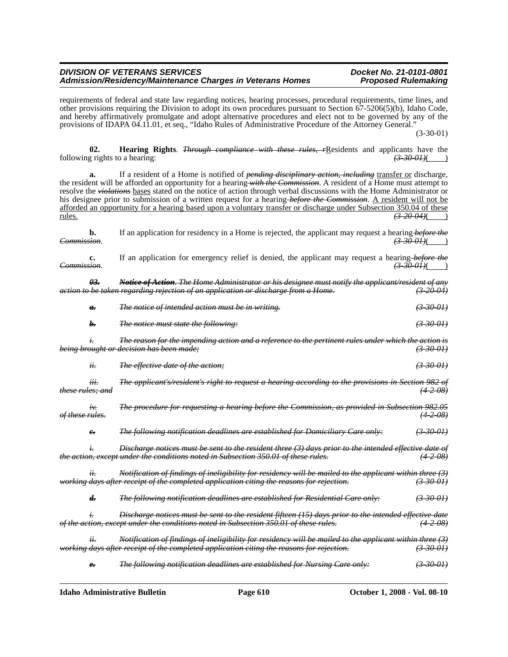requirements of federal and state law regarding notices, hearing processes, procedural requirements, time lines, and other provisions requiring the Division to adopt its own procedures pursuant to Section 67-5206(5)(b), Idaho Code, and hereby affirmatively promulgate and adopt alternative procedures and elect not to be governed by any of the provisions of IDAPA 04.11.01, et seq., "Idaho Rules of Administrative Procedure of the Attorney General."

(3-30-01)

**02. Hearing Rights**. *<del>Through compliance with these rules, r</del>Residents and applicants have the g rights to a hearing:* (3.30.01) following rights to a hearing:

**a.** If a resident of a Home is notified of *pending disciplinary action, including* transfer or discharge, the resident will be afforded an opportunity for a hearing *with the Commission*. A resident of a Home must attempt to resolve the *violations* bases stated on the notice of action through verbal discussions with the Home Administrator or his designee prior to submission of a written request for a hearing *before the Commission*. A resident will not be afforded an opportunity for a hearing based upon a voluntary transfer or discharge under Subsection 350.04 of these rules. *(3-20-04)*( )

**b.** If an application for residency in a Home is rejected, the applicant may request a hearing before the *Commission*. *(3-30-01)*( )

**c.** If an application for emergency relief is denied, the applicant may request a hearing *before the Commission*. *(3-30-01)*( )

*03. Notice of Action. The Home Administrator or his designee must notify the applicant/resident of any action to be taken regarding rejection of an application or discharge from a Home. (3-20-04) a. The notice of intended action must be in writing. (3-30-01) b. The notice must state the following: (3-30-01) i. The reason for the impending action and a reference to the pertinent rules under which the action is being brought or decision has been made; (3-30-01) ii. The effective date of the action; (3-30-01) iii. The applicant's/resident's right to request a hearing according to the provisions in Section 982 of these rules; and (4-2-08) iv. The procedure for requesting a hearing before the Commission, as provided in Subsection 982.05 of these rules. (4-2-08) c. The following notification deadlines are established for Domiciliary Care only: (3-30-01) i. Discharge notices must be sent to the resident three (3) days prior to the intended effective date of the action, except under the conditions noted in Subsection 350.01 of these rules. ii. Notification of findings of ineligibility for residency will be mailed to the applicant within three (3) working days after receipt of the completed application citing the reasons for rejection. (3-30-01) d. The following notification deadlines are established for Residential Care only: (3-30-01) i. Discharge notices must be sent to the resident fifteen (15) days prior to the intended effective date of the action, except under the conditions noted in Subsection 350.01 of these rules. (4-2-08) ii. Notification of findings of ineligibility for residency will be mailed to the applicant within three (3) working days after receipt of the completed application citing the reasons for rejection.* 

*e. The following notification deadlines are established for Nursing Care only: (3-30-01)*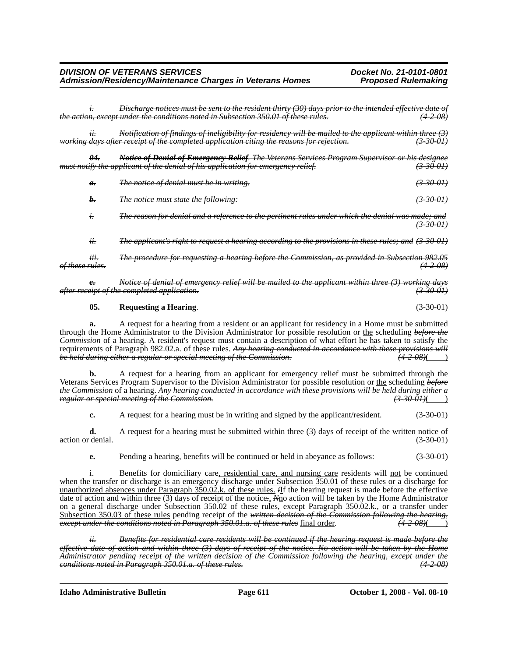| DIVISION OF VETERANS SERVICES                             |  |
|-----------------------------------------------------------|--|
| Admission/Residency/Maintenance Charges in Veterans Homes |  |

*i. Discharge notices must be sent to the resident thirty (30) days prior to the intended effective date of the action, except under the conditions noted in Subsection 350.01 of these rules. (4-2-08)*

*ii. Notification of findings of ineligibility for residency will be mailed to the applicant within three (3) working days after receipt of the completed application citing the reasons for rejection. (3-30-01)*

*04. Notice of Denial of Emergency Relief. The Veterans Services Program Supervisor or his designee must notify the applicant of the denial of his application for emergency relief. (3-30-01)*

| a.  | The notice of denial must be in writing.                                                               | $\left(3,30,01\right)$ |
|-----|--------------------------------------------------------------------------------------------------------|------------------------|
| h.  | <i>The notice must state the following:</i>                                                            | <del>(3-30-01)</del>   |
|     | The reason for denial and a reference to the pertinent rules under which the denial was made; and      | <del>(3-30-01)</del>   |
| ii. | The applicant's right to request a hearing according to the provisions in these rules; and $(3-30-01)$ |                        |

*iii. The procedure for requesting a hearing before the Commission, as provided in Subsection 982.05 of these rules. (4-2-08)*

*c. Notice of denial of emergency relief will be mailed to the applicant within three (3) working days after receipt of the completed application. (3-30-01)*

### **05. Requesting a Hearing**. (3-30-01)

**a.** A request for a hearing from a resident or an applicant for residency in a Home must be submitted through the Home Administrator to the Division Administrator for possible resolution or the scheduling *before the Commission* of a hearing. A resident's request must contain a description of what effort he has taken to satisfy the requirements of Paragraph 982.02.a. of these rules. *Any hearing conducted in accordance with these provisions will*<br>*be held during either a regular or special meeting of the Commission. be held during either a regular or special meeting of the Commission.* 

**b.** A request for a hearing from an applicant for emergency relief must be submitted through the Veterans Services Program Supervisor to the Division Administrator for possible resolution or the scheduling *before the Commission* of a hearing. *Any hearing conducted in accordance with these provisions will be held during either a regular or special meeting of the Commission.* 

**c.** A request for a hearing must be in writing and signed by the applicant/resident. (3-30-01)

**d.** A request for a hearing must be submitted within three (3) days of receipt of the written notice of action or denial. (3-30-01)

**e.** Pending a hearing, benefits will be continued or held in abeyance as follows:  $(3-30-01)$ 

i. Benefits for domiciliary care, residential care, and nursing care residents will not be continued when the transfer or discharge is an emergency discharge under Subsection 350.01 of these rules or a discharge for unauthorized absences under Paragraph 350.02.k. of these rules. *i*If the hearing request is made before the effective date of action and within three (3) days of receipt of the notice*.*, *N*no action will be taken by the Home Administrator on a general discharge under Subsection 350.02 of these rules, except Paragraph 350.02.k., or a transfer under Subsection 350.03 of these rules pending receipt of the *written decision of the Commission following the hearing,*<br>except under the conditions noted in Paragraph 350.01.a. of these rules final order. (4-2-08)( *except under the conditions noted in Paragraph 350.01.a. of these rules* final order.

*ii. Benefits for residential care residents will be continued if the hearing request is made before the effective date of action and within three (3) days of receipt of the notice. No action will be taken by the Home Administrator pending receipt of the written decision of the Commission following the hearing, except under the conditions noted in Paragraph 350.01.a. of these rules. (4-2-08)*

**Idaho Administrative Bulletin Page 611 October 1, 2008 - Vol. 08-10**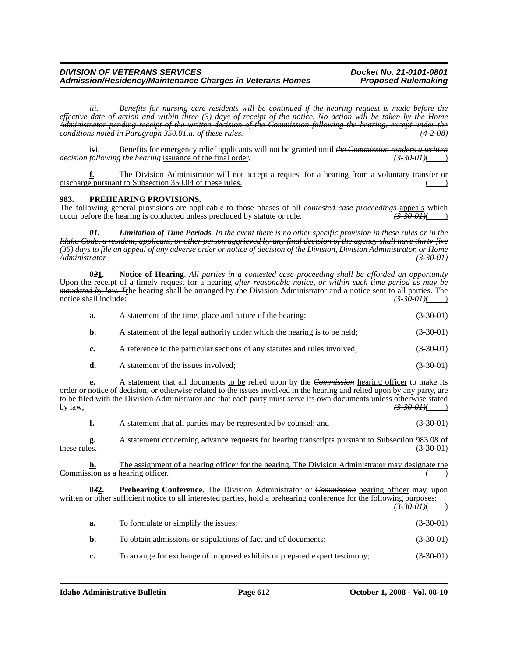*iii. Benefits for nursing care residents will be continued if the hearing request is made before the effective date of action and within three (3) days of receipt of the notice. No action will be taken by the Home Administrator pending receipt of the written decision of the Commission following the hearing, except under the conditions noted in Paragraph 350.01.a. of these rules. (4-2-08)*

i*v*i. Benefits for emergency relief applicants will not be granted until *the Commission renders a written decision following the hearing* issuance of the final order.

**f.** The Division Administrator will not accept a request for a hearing from a voluntary transfer or discharge pursuant to Subsection 350.04 of these rules.

### **983. PREHEARING PROVISIONS.**

The following general provisions are applicable to those phases of all *contested case proceedings* appeals which occur before the hearing is conducted unless precluded by statute or rule. *(3-30-01)*( )

*01. Limitation of Time Periods. In the event there is no other specific provision in these rules or in the Idaho Code, a resident, applicant, or other person aggrieved by any final decision of the agency shall have thirty-five (35) days to file an appeal of any adverse order or notice of decision of the Division, Division Administrator, or Home Administrator. (3-30-01)*

**0***2***1. Notice of Hearing**. *All parties in a contested case proceeding shall be afforded an opportunity* Upon the receipt of a timely request for a hearing *after reasonable notice*, *or within such time period as may be mandated by law. T***t**he hearing shall be arranged by the Division Administrator and a notice sent to all parties. The notice shall include: *(3-30-01)*(*)* and include: *(3-30-01)*(*)* and include: *(3-30-01)*(*)* and include: *(3-30-01)* (*)* and include: *(3-30-01)* (*)* and include: *(3-30-01)* (*)* and include: *(3-30-01)* (*)* and in **a.** A statement of the time, place and nature of the hearing; (3-30-01) **b.** A statement of the legal authority under which the hearing is to be held; (3-30-01) **c.** A reference to the particular sections of any statutes and rules involved; (3-30-01) **d.** A statement of the issues involved; (3-30-01) **e.** A statement that all documents to be relied upon by the *Commission* hearing officer to make its order or notice of decision, or otherwise related to the issues involved in the hearing and relied upon by any party, are to be filed with the Division Administrator and that each party must serve its own documents unless otherwise stated by law;  $\frac{(3-30-0.01)()}{2}$ **f.** A statement that all parties may be represented by counsel; and  $(3-30-01)$ **g.** A statement concerning advance requests for hearing transcripts pursuant to Subsection 983.08 of these rules.  $(3-30-01)$ **h.** The assignment of a hearing officer for the hearing. The Division Administrator may designate the Commission as a hearing officer. **Prehearing Conference**. The Division Administrator or *Commission* hearing officer may, upon written or other sufficient notice to all interested parties, hold a prehearing conference for the following purposes:  $(3-30-0)$ **a.** To formulate or simplify the issues; (3-30-01)

|    | To obtain admissions or stipulations of fact and of documents;             | $(3-30-01)$ |
|----|----------------------------------------------------------------------------|-------------|
| c. | To arrange for exchange of proposed exhibits or prepared expert testimony; | $(3-30-01)$ |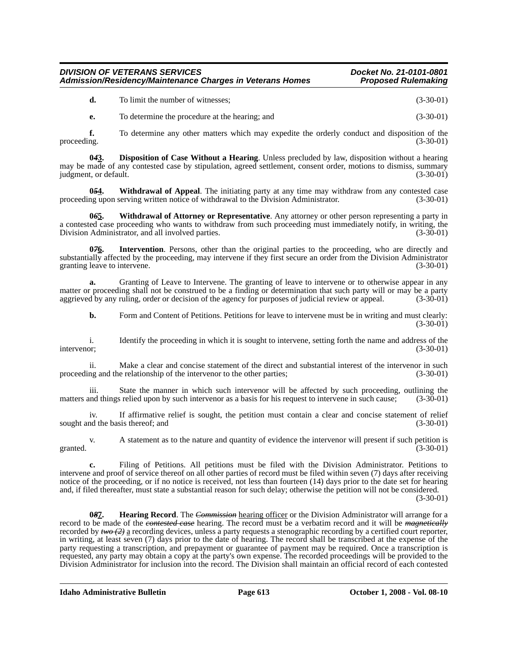**d.** To limit the number of witnesses; (3-30-01)

**e.** To determine the procedure at the hearing; and (3-30-01)

**f.** To determine any other matters which may expedite the orderly conduct and disposition of the proceeding.  $(3-30-01)$ 

**0***4***3. Disposition of Case Without a Hearing**. Unless precluded by law, disposition without a hearing may be made of any contested case by stipulation, agreed settlement, consent order, motions to dismiss, summary judgment, or default. (3-30-01)

**054.** Withdrawal of Appeal. The initiating party at any time may withdraw from any contested case ng upon serving written notice of withdrawal to the Division Administrator. (3-30-01) proceeding upon serving written notice of withdrawal to the Division Administrator.

**0***6***5. Withdrawal of Attorney or Representative**. Any attorney or other person representing a party in a contested case proceeding who wants to withdraw from such proceeding must immediately notify, in writing, the Division Administrator, and all involved parties. (3-30-01) Division Administrator, and all involved parties.

**0***7***6. Intervention**. Persons, other than the original parties to the proceeding, who are directly and substantially affected by the proceeding, may intervene if they first secure an order from the Division Administrator granting leave to intervene. (3-30-01)

**a.** Granting of Leave to Intervene. The granting of leave to intervene or to otherwise appear in any matter or proceeding shall not be construed to be a finding or determination that such party will or may be a party aggrieved by any ruling, order or decision of the agency for purposes of judicial review or appeal. (3-30-01)

**b.** Form and Content of Petitions. Petitions for leave to intervene must be in writing and must clearly:  $(3-30-01)$ 

i. Identify the proceeding in which it is sought to intervene, setting forth the name and address of the or: (3-30-01) intervenor; (3-30-01)

ii. Make a clear and concise statement of the direct and substantial interest of the intervenor in such proceeding and the relationship of the intervenor to the other parties; (3-30-01)

iii. State the manner in which such intervenor will be affected by such proceeding, outlining the and things relied upon by such intervenor as a basis for his request to intervene in such cause: (3-30-01) matters and things relied upon by such intervenor as a basis for his request to intervene in such cause;

iv. If affirmative relief is sought, the petition must contain a clear and concise statement of relief nd the basis thereof; and (3-30-01) sought and the basis thereof; and

v. A statement as to the nature and quantity of evidence the intervenor will present if such petition is granted.  $(3-30-01)$ 

**c.** Filing of Petitions. All petitions must be filed with the Division Administrator. Petitions to intervene and proof of service thereof on all other parties of record must be filed within seven (7) days after receiving notice of the proceeding, or if no notice is received, not less than fourteen (14) days prior to the date set for hearing and, if filed thereafter, must state a substantial reason for such delay; otherwise the petition will not be considered.

(3-30-01)

**0***8***7. Hearing Record**. The *Commission* hearing officer or the Division Administrator will arrange for a record to be made of the *contested case* hearing. The record must be a verbatim record and it will be *magnetically* recorded by *two (2)* a recording devices, unless a party requests a stenographic recording by a certified court reporter, in writing, at least seven (7) days prior to the date of hearing. The record shall be transcribed at the expense of the party requesting a transcription, and prepayment or guarantee of payment may be required. Once a transcription is requested, any party may obtain a copy at the party's own expense. The recorded proceedings will be provided to the Division Administrator for inclusion into the record. The Division shall maintain an official record of each contested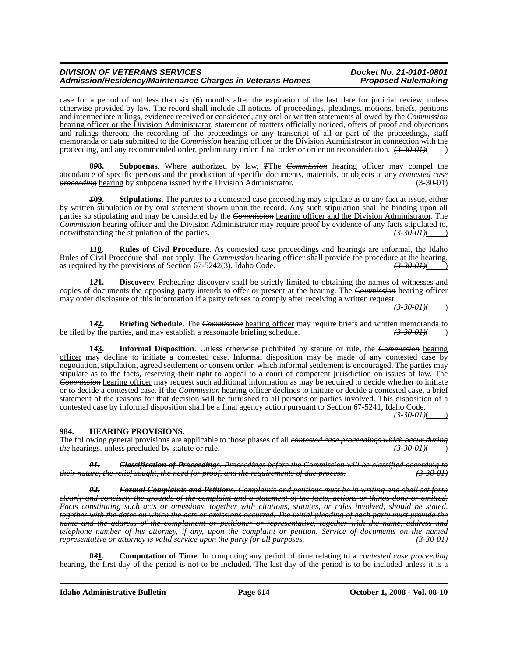case for a period of not less than six (6) months after the expiration of the last date for judicial review, unless otherwise provided by law. The record shall include all notices of proceedings, pleadings, motions, briefs, petitions and intermediate rulings, evidence received or considered, any oral or written statements allowed by the *Commission* hearing officer or the Division Administrator, statement of matters officially noticed, offers of proof and objections and rulings thereon, the recording of the proceedings or any transcript of all or part of the proceedings, staff memoranda or data submitted to the *Commission* hearing officer or the Division Administrator in connection with the proceeding, and any recommended order, preliminary order, final order or order on reconsideration.  $(3-30-01)$ 

**0***9***8. Subpoenas**. Where authorized by law, *T*The *Commission* hearing officer may compel the attendance of specific persons and the production of specific documents, materials, or objects at any *contested case proceeding* hearing by subpoena issued by the Division Administrator. (3-30-01) (3-30-01)

*1***09. Stipulations**. The parties to a contested case proceeding may stipulate as to any fact at issue, either by written stipulation or by oral statement shown upon the record. Any such stipulation shall be binding upon all parties so stipulating and may be considered by the *Commission* hearing officer and the Division Administrator. The *Commission* hearing officer and the Division Administrator may require proof by evidence of any facts stipulated to, notwithstanding the stipulation of the parties.  $\overline{(3\cdot30\cdot01)()}$ notwithstanding the stipulation of the parties.

**1***1***0. Rules of Civil Procedure**. As contested case proceedings and hearings are informal, the Idaho Rules of Civil Procedure shall not apply. The *Commission* hearing officer shall provide the procedure at the hearing, as required by the provisions of Section 67-5242(3), Idaho Code.  $\overline{(3\cdot30\cdot01)(})$ as required by the provisions of Section 67-5242(3), Idaho Code.

**1***2***1. Discovery**. Prehearing discovery shall be strictly limited to obtaining the names of witnesses and copies of documents the opposing party intends to offer or present at the hearing. The *Commission* hearing officer may order disclosure of this information if a party refuses to comply after receiving a written request.

*(3-30-01)*( )

**13<u>2</u>. Briefing Schedule**. The *Commission* hearing officer may require briefs and written memoranda to by the parties, and may establish a reasonable briefing schedule.  $\overrightarrow{(3\,30\,01)}}$ be filed by the parties, and may establish a reasonable briefing schedule.

**1***4***3. Informal Disposition**. Unless otherwise prohibited by statute or rule, the *Commission* hearing officer may decline to initiate a contested case. Informal disposition may be made of any contested case by negotiation, stipulation, agreed settlement or consent order, which informal settlement is encouraged. The parties may stipulate as to the facts, reserving their right to appeal to a court of competent jurisdiction on issues of law. The *Commission* hearing officer may request such additional information as may be required to decide whether to initiate or to decide a contested case. If the *Commission* hearing officer declines to initiate or decide a contested case, a brief statement of the reasons for that decision will be furnished to all persons or parties involved. This disposition of a contested case by informal disposition shall be a final agency action pursuant to Section 67-5241, Idaho Code.

 $(3-30-01)$ 

## **984. HEARING PROVISIONS.**

The following general provisions are applicable to those phases of all *contested case proceedings which occur during*<br>(3-30-01)(1)<br>(3-30-01)(1) *the* hearings. unless precluded by statute or rule.

*01. Classification of Proceedings. Proceedings before the Commission will be classified according to their nature, the relief sought, the need for proof, and the requirements of due process.* 

*02. Formal Complaints and Petitions. Complaints and petitions must be in writing and shall set forth clearly and concisely the grounds of the complaint and a statement of the facts, actions or things done or omitted. Facts constituting such acts or omissions, together with citations, statutes, or rules involved, should be stated, together with the dates on which the acts or omissions occurred. The initial pleading of each party must provide the name and the address of the complainant or petitioner or representative, together with the name, address and telephone number of his attorney, if any, upon the complaint or petition. Service of documents on the named representative or attorney is valid service upon the party for all purposes.* 

**0***3***1. Computation of Time**. In computing any period of time relating to a *contested case proceeding* hearing, the first day of the period is not to be included. The last day of the period is to be included unless it is a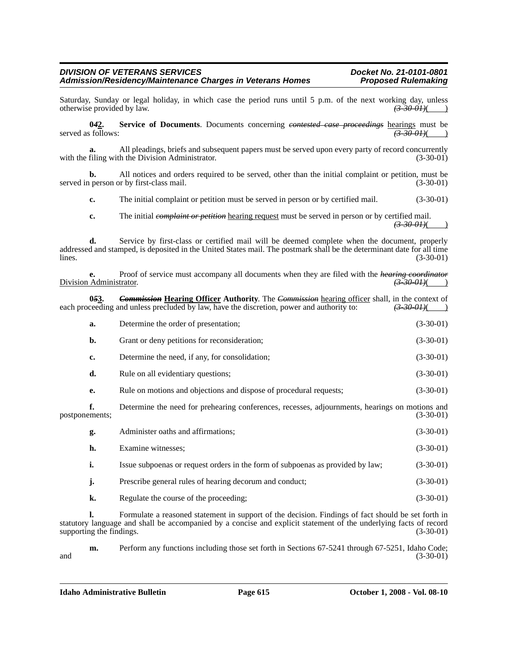Saturday, Sunday or legal holiday, in which case the period runs until 5 p.m. of the next working day, unless otherwise provided by law.  $\left(3.300H\right)\left(2.300H\right)$ otherwise provided by law. *(3-30-01)*( )

**0***4***2. Service of Documents**. Documents concerning *contested case proceedings* hearings must be served as follows:  $\left(3-30-01\right)$   $\left(4-30-01\right)$ 

**a.** All pleadings, briefs and subsequent papers must be served upon every party of record concurrently filing with the Division Administrator. (3-30-01) with the filing with the Division Administrator.

**b.** All notices and orders required to be served, other than the initial complaint or petition, must be served in person or by first-class mail. (3-30-01)

**c.** The initial complaint or petition must be served in person or by certified mail.  $(3-30-01)$ 

**c.** The initial *complaint or petition* hearing request must be served in person or by certified mail.  $(3-30-01)$ ( )

**d.** Service by first-class or certified mail will be deemed complete when the document, properly addressed and stamped, is deposited in the United States mail. The postmark shall be the determinant date for all time  $\frac{1}{3}$  lines. (3-30-01)

**e.** Proof of service must accompany all documents when they are filed with the *hearing coordinator* Administrator. (3.30.01) Division Administrator. *(3-30-01)*( )

**053.** *Commission* **Hearing Officer Authority**. The *Commission* hearing officer shall, in the context of ceeding and unless precluded by law, have the discretion, power and authority to:  $\left(3.300J\right)()$ each proceeding and unless precluded by law, have the discretion, power and authority to:

| a.                   | Determine the order of presentation;                                                           | $(3-30-01)$ |
|----------------------|------------------------------------------------------------------------------------------------|-------------|
| b.                   | Grant or deny petitions for reconsideration;                                                   | $(3-30-01)$ |
| c.                   | Determine the need, if any, for consolidation;                                                 | $(3-30-01)$ |
| d.                   | Rule on all evidentiary questions;                                                             | $(3-30-01)$ |
| е.                   | Rule on motions and objections and dispose of procedural requests;                             | $(3-30-01)$ |
| f.<br>postponements; | Determine the need for prehearing conferences, recesses, adjournments, hearings on motions and | $(3-30-01)$ |
| g.                   | Administer oaths and affirmations;                                                             | $(3-30-01)$ |
| h.                   | Examine witnesses;                                                                             | $(3-30-01)$ |
| i.                   | Issue subpoenas or request orders in the form of subpoenas as provided by law;                 | $(3-30-01)$ |
| j.                   | Prescribe general rules of hearing decorum and conduct;                                        | $(3-30-01)$ |
| k.                   | Regulate the course of the proceeding;                                                         | $(3-30-01)$ |
|                      |                                                                                                |             |

**l.** Formulate a reasoned statement in support of the decision. Findings of fact should be set forth in statutory language and shall be accompanied by a concise and explicit statement of the underlying facts of record supporting the findings. (3-30-01) (3-30-01)

**m.** Perform any functions including those set forth in Sections 67-5241 through 67-5251, Idaho Code;<br>(3-30-01) and  $(3-30-01)$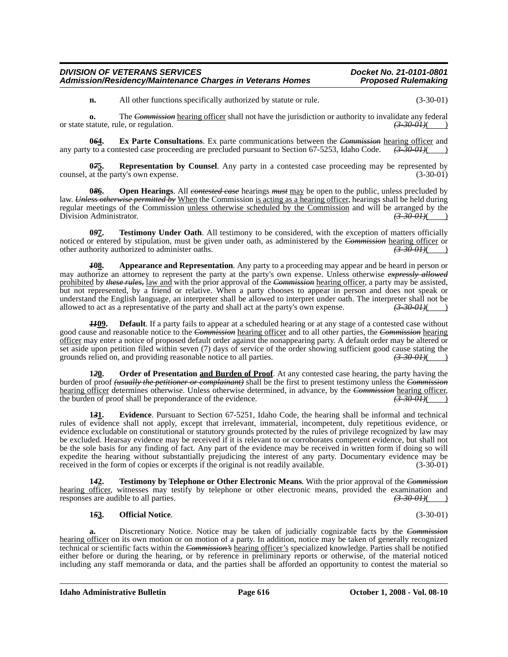**n.** All other functions specifically authorized by statute or rule.  $(3-30-01)$ 

**o.** The *Commission* hearing officer shall not have the jurisdiction or authority to invalidate any federal tatute, rule, or regulation.  $\left(3-30-0+1\right)$ or state statute, rule, or regulation.

**064.** Ex Parte Consultations. Ex parte communications between the *Commission* hearing officer and  $\alpha$  to a contested case proceeding are precluded pursuant to Section 67-5253, Idaho Code.  $\left(3\text{-}30\text{-}01\right)$ any party to a contested case proceeding are precluded pursuant to Section 67-5253, Idaho Code.

**07<u>5</u>. Representation by Counsel**. Any party in a contested case proceeding may be represented by at the party's own expense. (3-30-01) counsel, at the party's own expense.

**0***8***6. Open Hearings**. All *contested case* hearings *must* may be open to the public, unless precluded by law. *Unless otherwise permitted by* When the Commission is acting as a hearing officer, hearings shall be held during regular meetings of the Commission unless otherwise scheduled by the Commission and will be arranged by the Division Administrator. *(3-30-01)*(*3-30-01)*(

**0***9***7. Testimony Under Oath**. All testimony to be considered, with the exception of matters officially noticed or entered by stipulation, must be given under oath, as administered by the *Commission* hearing officer or other authority authorized to administer oaths. other authority authorized to administer oaths.

*1***08. Appearance and Representation**. Any party to a proceeding may appear and be heard in person or may authorize an attorney to represent the party at the party's own expense. Unless otherwise *expressly allowed* prohibited by *these rules,* law and with the prior approval of the *Commission* hearing officer, a party may be assisted, but not represented, by a friend or relative. When a party chooses to appear in person and does not speak or understand the English language, an interpreter shall be allowed to interpret under oath. The interpreter shall not be allowed to act as a representative of the party and shall act at the party's own expense. allowed to act as a representative of the party and shall act at the party's own expense.  $(3-30-0.01)()$ 

**Default**. If a party fails to appear at a scheduled hearing or at any stage of a contested case without good cause and reasonable notice to the *Commission* hearing officer and to all other parties, the *Commission* hearing officer may enter a notice of proposed default order against the nonappearing party. A default order may be altered or set aside upon petition filed within seven (7) days of service of the order showing sufficient good cause stating the grounds relied on, and providing reasonable notice to all parties.  $\left(3.300H\right)$ grounds relied on, and providing reasonable notice to all parties.

**1***2***0. Order of Presentation and Burden of Proof**. At any contested case hearing, the party having the burden of proof *(usually the petitioner or complainant)* shall be the first to present testimony unless the *Commission* hearing officer determines otherwise. Unless otherwise determined, in advance, by the *Commission* hearing officer, the burden of proof shall be preponderance of the evidence. the burden of proof shall be preponderance of the evidence.

**1***3***1. Evidence**. Pursuant to Section 67-5251, Idaho Code, the hearing shall be informal and technical rules of evidence shall not apply, except that irrelevant, immaterial, incompetent, duly repetitious evidence, or evidence excludable on constitutional or statutory grounds protected by the rules of privilege recognized by law may be excluded. Hearsay evidence may be received if it is relevant to or corroborates competent evidence, but shall not be the sole basis for any finding of fact. Any part of the evidence may be received in written form if doing so will expedite the hearing without substantially prejudicing the interest of any party. Documentary evidence may be received in the form of copies or excerpts if the original is not readily available. (3-30-01)

**1***4***2. Testimony by Telephone or Other Electronic Means**. With the prior approval of the *Commission* <u>hearing officer</u>, witnesses may testify by telephone or other electronic means, provided the examination and responses are audible to all parties.  $\left(3-30-0.01\right)$ responses are audible to all parties.

## **1***5***3. Official Notice**. (3-30-01)

**a.** Discretionary Notice. Notice may be taken of judicially cognizable facts by the *Commission* hearing officer on its own motion or on motion of a party. In addition, notice may be taken of generally recognized technical or scientific facts within the *Commission's* hearing officer's specialized knowledge. Parties shall be notified either before or during the hearing, or by reference in preliminary reports or otherwise, of the material noticed including any staff memoranda or data, and the parties shall be afforded an opportunity to contest the material so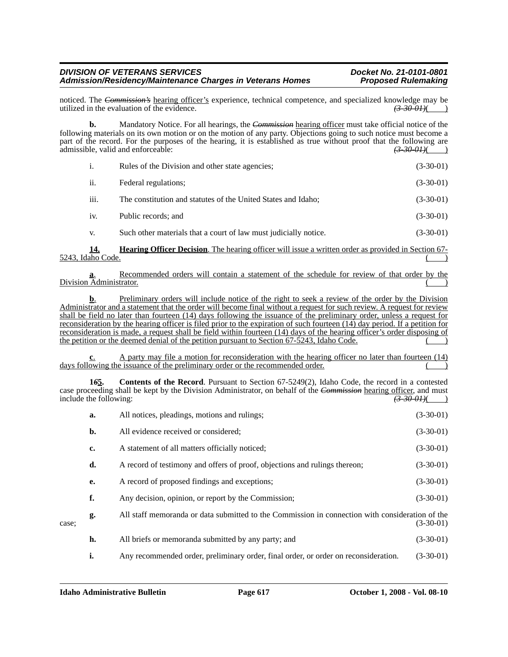noticed. The *Commission's* hearing officer's experience, technical competence, and specialized knowledge may be utilized in the evaluation of the evidence. utilized in the evaluation of the evidence.

**b.** Mandatory Notice. For all hearings, the *Commission* hearing officer must take official notice of the following materials on its own motion or on the motion of any party. Objections going to such notice must become a part of the record. For the purposes of the hearing, it is established as true without proof that the following are admissible, valid and enforceable:  $\frac{(3-30-0.01)(1)}{2}$ admissible, valid and enforceable:

| i.   | Rules of the Division and other state agencies;                  | $(3-30-01)$ |
|------|------------------------------------------------------------------|-------------|
| ii.  | Federal regulations;                                             | $(3-30-01)$ |
| iii. | The constitution and statutes of the United States and Idaho;    | $(3-30-01)$ |
| iv.  | Public records; and                                              | $(3-30-01)$ |
| V.   | Such other materials that a court of law must judicially notice. | $(3-30-01)$ |

**14. Hearing Officer Decision**. The hearing officer will issue a written order as provided in Section 67-  $5243$ , Idaho Code.

**a**. Recommended orders will contain a statement of the schedule for review of that order by the Division Administrator.

**b.** Preliminary orders will include notice of the right to seek a review of the order by the Division Administrator and a statement that the order will become final without a request for such review. A request for review shall be field no later than fourteen (14) days following the issuance of the preliminary order, unless a request for reconsideration by the hearing officer is filed prior to the expiration of such fourteen (14) day period. If a petition for reconsideration is made, a request shall be field within fourteen (14) days of the hearing officer's order disposing of the petition or the deemed denial of the petition pursuant to Section 67-5243, Idaho Code.

**c**. A party may file a motion for reconsideration with the hearing officer no later than fourteen (14) days following the issuance of the preliminary order or the recommended order.

**1***6***5. Contents of the Record**. Pursuant to Section 67-5249(2), Idaho Code, the record in a contested case proceeding shall be kept by the Division Administrator, on behalf of the *Commission* hearing officer, and must include the following:<br>(3-30-01) include the following:

|       | a. | All notices, pleadings, motions and rulings;                                                    | $(3-30-01)$ |
|-------|----|-------------------------------------------------------------------------------------------------|-------------|
|       | b. | All evidence received or considered;                                                            | $(3-30-01)$ |
|       | c. | A statement of all matters officially noticed;                                                  | $(3-30-01)$ |
|       | d. | A record of testimony and offers of proof, objections and rulings thereon;                      | $(3-30-01)$ |
|       | e. | A record of proposed findings and exceptions;                                                   | $(3-30-01)$ |
|       | f. | Any decision, opinion, or report by the Commission;                                             | $(3-30-01)$ |
| case: | g. | All staff memoranda or data submitted to the Commission in connection with consideration of the | $(3-30-01)$ |
|       | h. | All briefs or memoranda submitted by any party; and                                             | $(3-30-01)$ |
|       | i. | Any recommended order, preliminary order, final order, or order on reconsideration.             | $(3-30-01)$ |